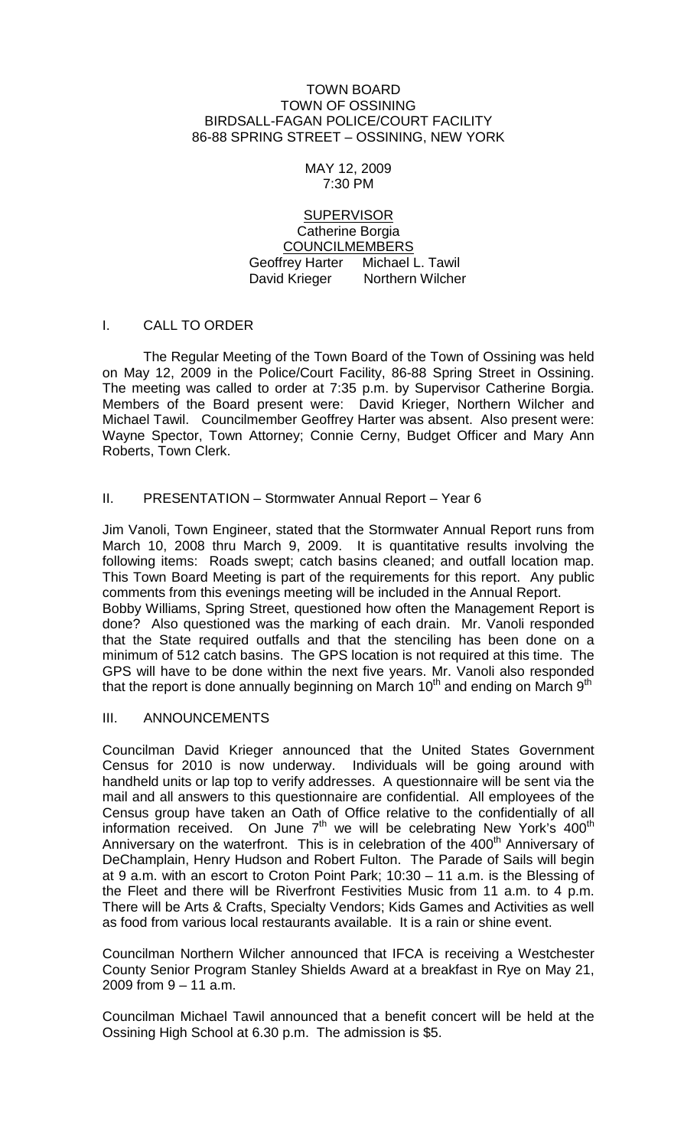#### TOWN BOARD TOWN OF OSSINING BIRDSALL-FAGAN POLICE/COURT FACILITY 86-88 SPRING STREET – OSSINING, NEW YORK

#### MAY 12, 2009 7:30 PM

### **SUPERVISOR** Catherine Borgia COUNCILMEMBERS Geoffrey Harter Michael L. Tawil David Krieger Northern Wilcher

# I. CALL TO ORDER

The Regular Meeting of the Town Board of the Town of Ossining was held on May 12, 2009 in the Police/Court Facility, 86-88 Spring Street in Ossining. The meeting was called to order at 7:35 p.m. by Supervisor Catherine Borgia. Members of the Board present were: David Krieger, Northern Wilcher and Michael Tawil. Councilmember Geoffrey Harter was absent. Also present were: Wayne Spector, Town Attorney; Connie Cerny, Budget Officer and Mary Ann Roberts, Town Clerk.

# II. PRESENTATION – Stormwater Annual Report – Year 6

Jim Vanoli, Town Engineer, stated that the Stormwater Annual Report runs from March 10, 2008 thru March 9, 2009. It is quantitative results involving the following items: Roads swept; catch basins cleaned; and outfall location map. This Town Board Meeting is part of the requirements for this report. Any public comments from this evenings meeting will be included in the Annual Report. Bobby Williams, Spring Street, questioned how often the Management Report is done? Also questioned was the marking of each drain. Mr. Vanoli responded that the State required outfalls and that the stenciling has been done on a minimum of 512 catch basins. The GPS location is not required at this time. The GPS will have to be done within the next five years. Mr. Vanoli also responded that the report is done annually beginning on March  $10^{th}$  and ending on March  $9^{th}$ 

### III. ANNOUNCEMENTS

Councilman David Krieger announced that the United States Government Census for 2010 is now underway. Individuals will be going around with handheld units or lap top to verify addresses. A questionnaire will be sent via the mail and all answers to this questionnaire are confidential. All employees of the Census group have taken an Oath of Office relative to the confidentially of all information received. On June  $7<sup>th</sup>$  we will be celebrating New York's 400<sup>th</sup> Anniversary on the waterfront. This is in celebration of the  $400<sup>th</sup>$  Anniversary of DeChamplain, Henry Hudson and Robert Fulton. The Parade of Sails will begin at 9 a.m. with an escort to Croton Point Park; 10:30 – 11 a.m. is the Blessing of the Fleet and there will be Riverfront Festivities Music from 11 a.m. to 4 p.m. There will be Arts & Crafts, Specialty Vendors; Kids Games and Activities as well as food from various local restaurants available. It is a rain or shine event.

Councilman Northern Wilcher announced that IFCA is receiving a Westchester County Senior Program Stanley Shields Award at a breakfast in Rye on May 21, 2009 from 9 – 11 a.m.

Councilman Michael Tawil announced that a benefit concert will be held at the Ossining High School at 6.30 p.m. The admission is \$5.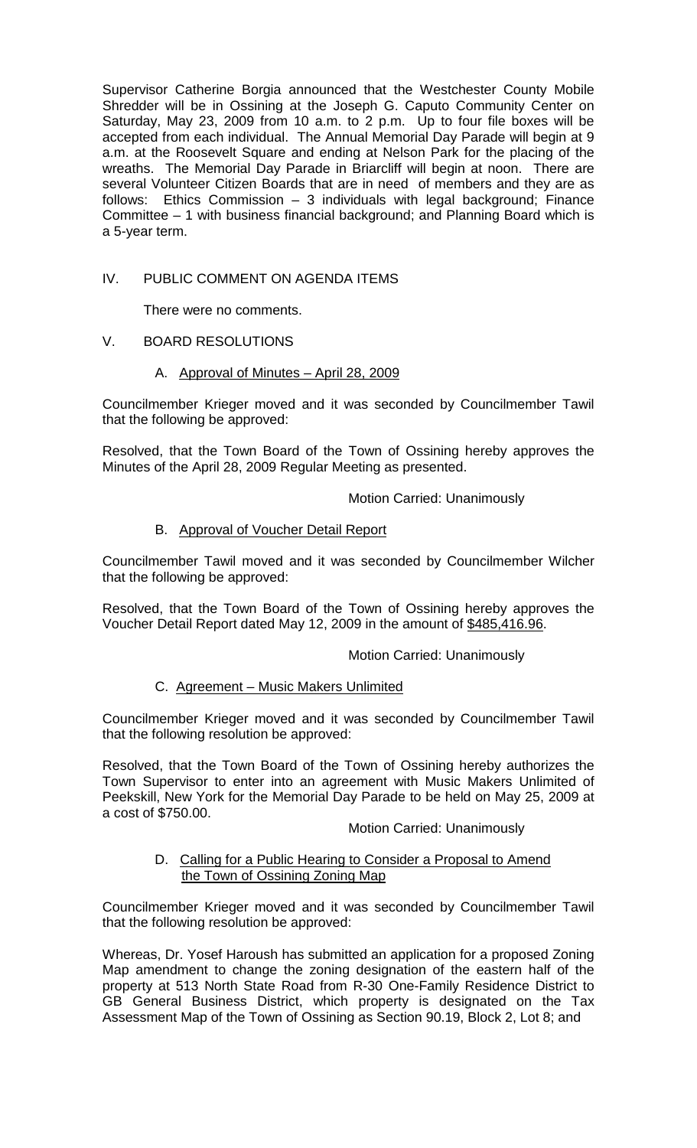Supervisor Catherine Borgia announced that the Westchester County Mobile Shredder will be in Ossining at the Joseph G. Caputo Community Center on Saturday, May 23, 2009 from 10 a.m. to 2 p.m. Up to four file boxes will be accepted from each individual. The Annual Memorial Day Parade will begin at 9 a.m. at the Roosevelt Square and ending at Nelson Park for the placing of the wreaths. The Memorial Day Parade in Briarcliff will begin at noon. There are several Volunteer Citizen Boards that are in need of members and they are as follows: Ethics Commission – 3 individuals with legal background; Finance Committee – 1 with business financial background; and Planning Board which is a 5-year term.

# IV. PUBLIC COMMENT ON AGENDA ITEMS

There were no comments.

# V. BOARD RESOLUTIONS

### A. Approval of Minutes – April 28, 2009

Councilmember Krieger moved and it was seconded by Councilmember Tawil that the following be approved:

Resolved, that the Town Board of the Town of Ossining hereby approves the Minutes of the April 28, 2009 Regular Meeting as presented.

Motion Carried: Unanimously

# B. Approval of Voucher Detail Report

Councilmember Tawil moved and it was seconded by Councilmember Wilcher that the following be approved:

Resolved, that the Town Board of the Town of Ossining hereby approves the Voucher Detail Report dated May 12, 2009 in the amount of \$485,416.96.

### Motion Carried: Unanimously

# C. Agreement – Music Makers Unlimited

Councilmember Krieger moved and it was seconded by Councilmember Tawil that the following resolution be approved:

Resolved, that the Town Board of the Town of Ossining hereby authorizes the Town Supervisor to enter into an agreement with Music Makers Unlimited of Peekskill, New York for the Memorial Day Parade to be held on May 25, 2009 at a cost of \$750.00.

### Motion Carried: Unanimously

### D. Calling for a Public Hearing to Consider a Proposal to Amend the Town of Ossining Zoning Map

Councilmember Krieger moved and it was seconded by Councilmember Tawil that the following resolution be approved:

Whereas, Dr. Yosef Haroush has submitted an application for a proposed Zoning Map amendment to change the zoning designation of the eastern half of the property at 513 North State Road from R-30 One-Family Residence District to GB General Business District, which property is designated on the Tax Assessment Map of the Town of Ossining as Section 90.19, Block 2, Lot 8; and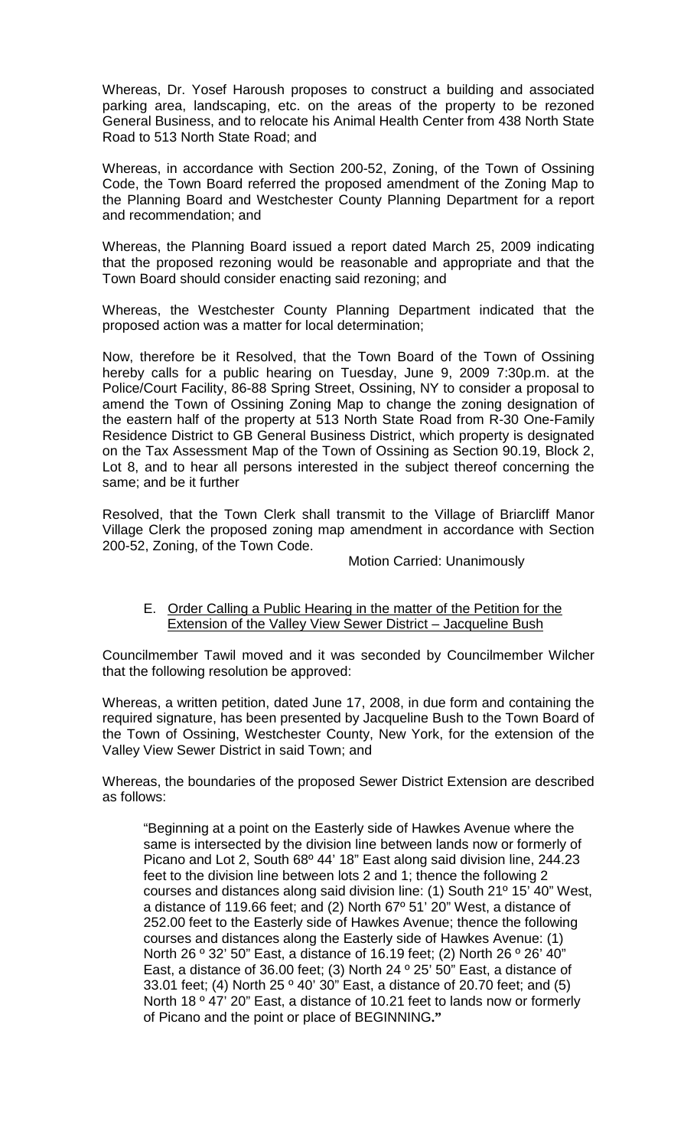Whereas, Dr. Yosef Haroush proposes to construct a building and associated parking area, landscaping, etc. on the areas of the property to be rezoned General Business, and to relocate his Animal Health Center from 438 North State Road to 513 North State Road; and

Whereas, in accordance with Section 200-52, Zoning, of the Town of Ossining Code, the Town Board referred the proposed amendment of the Zoning Map to the Planning Board and Westchester County Planning Department for a report and recommendation; and

Whereas, the Planning Board issued a report dated March 25, 2009 indicating that the proposed rezoning would be reasonable and appropriate and that the Town Board should consider enacting said rezoning; and

Whereas, the Westchester County Planning Department indicated that the proposed action was a matter for local determination;

Now, therefore be it Resolved, that the Town Board of the Town of Ossining hereby calls for a public hearing on Tuesday, June 9, 2009 7:30p.m. at the Police/Court Facility, 86-88 Spring Street, Ossining, NY to consider a proposal to amend the Town of Ossining Zoning Map to change the zoning designation of the eastern half of the property at 513 North State Road from R-30 One-Family Residence District to GB General Business District, which property is designated on the Tax Assessment Map of the Town of Ossining as Section 90.19, Block 2, Lot 8, and to hear all persons interested in the subject thereof concerning the same; and be it further

Resolved, that the Town Clerk shall transmit to the Village of Briarcliff Manor Village Clerk the proposed zoning map amendment in accordance with Section 200-52, Zoning, of the Town Code.

Motion Carried: Unanimously

### E. Order Calling a Public Hearing in the matter of the Petition for the Extension of the Valley View Sewer District - Jacqueline Bush

Councilmember Tawil moved and it was seconded by Councilmember Wilcher that the following resolution be approved:

Whereas, a written petition, dated June 17, 2008, in due form and containing the required signature, has been presented by Jacqueline Bush to the Town Board of the Town of Ossining, Westchester County, New York, for the extension of the Valley View Sewer District in said Town; and

Whereas, the boundaries of the proposed Sewer District Extension are described as follows:

"Beginning at a point on the Easterly side of Hawkes Avenue where the same is intersected by the division line between lands now or formerly of Picano and Lot 2, South 68º 44' 18" East along said division line, 244.23 feet to the division line between lots 2 and 1; thence the following 2 courses and distances along said division line: (1) South 21º 15' 40" West, a distance of 119.66 feet; and (2) North 67º 51' 20" West, a distance of 252.00 feet to the Easterly side of Hawkes Avenue; thence the following courses and distances along the Easterly side of Hawkes Avenue: (1) North 26 º 32' 50" East, a distance of 16.19 feet; (2) North 26 º 26' 40" East, a distance of 36.00 feet; (3) North 24 º 25' 50" East, a distance of 33.01 feet; (4) North 25 º 40' 30" East, a distance of 20.70 feet; and (5) North 18 ° 47' 20" East, a distance of 10.21 feet to lands now or formerly of Picano and the point or place of BEGINNING**."**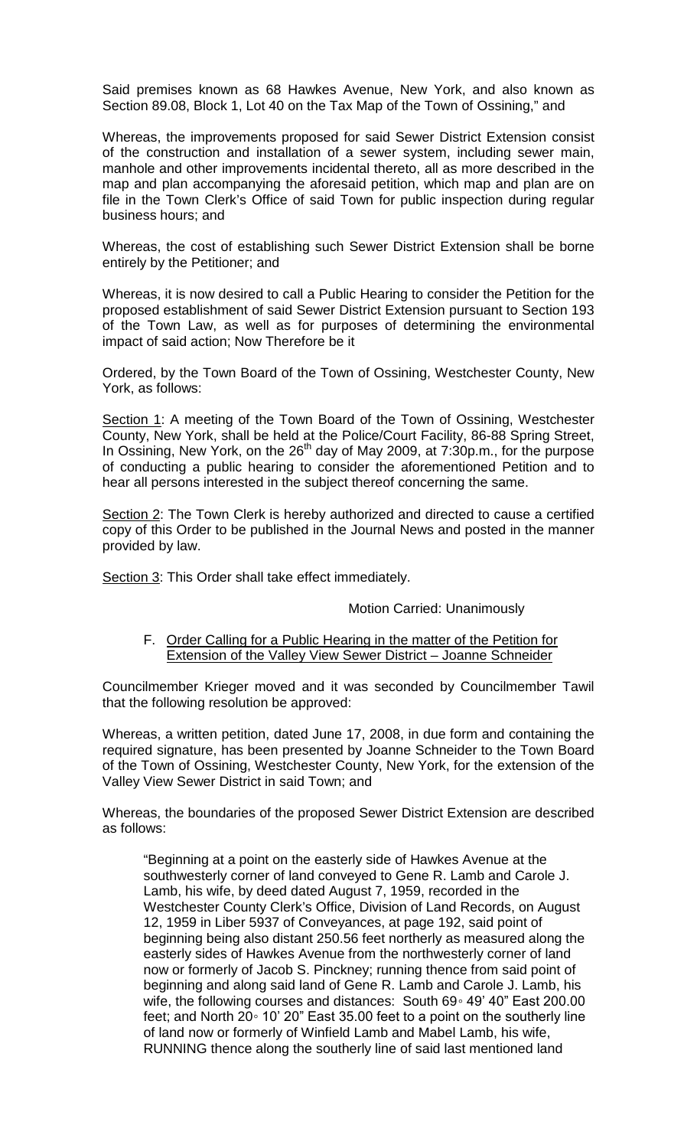Said premises known as 68 Hawkes Avenue, New York, and also known as Section 89.08, Block 1, Lot 40 on the Tax Map of the Town of Ossining," and

Whereas, the improvements proposed for said Sewer District Extension consist of the construction and installation of a sewer system, including sewer main, manhole and other improvements incidental thereto, all as more described in the map and plan accompanying the aforesaid petition, which map and plan are on file in the Town Clerk's Office of said Town for public inspection during regular business hours; and

Whereas, the cost of establishing such Sewer District Extension shall be borne entirely by the Petitioner; and

Whereas, it is now desired to call a Public Hearing to consider the Petition for the proposed establishment of said Sewer District Extension pursuant to Section 193 of the Town Law, as well as for purposes of determining the environmental impact of said action; Now Therefore be it

Ordered, by the Town Board of the Town of Ossining, Westchester County, New York, as follows:

Section 1: A meeting of the Town Board of the Town of Ossining, Westchester County, New York, shall be held at the Police/Court Facility, 86-88 Spring Street, In Ossining, New York, on the  $26<sup>th</sup>$  day of May 2009, at 7:30p.m., for the purpose of conducting a public hearing to consider the aforementioned Petition and to hear all persons interested in the subject thereof concerning the same.

Section 2: The Town Clerk is hereby authorized and directed to cause a certified copy of this Order to be published in the Journal News and posted in the manner provided by law.

Section 3: This Order shall take effect immediately.

#### Motion Carried: Unanimously

#### F. Order Calling for a Public Hearing in the matter of the Petition for Extension of the Valley View Sewer District – Joanne Schneider

Councilmember Krieger moved and it was seconded by Councilmember Tawil that the following resolution be approved:

Whereas, a written petition, dated June 17, 2008, in due form and containing the required signature, has been presented by Joanne Schneider to the Town Board of the Town of Ossining, Westchester County, New York, for the extension of the Valley View Sewer District in said Town; and

Whereas, the boundaries of the proposed Sewer District Extension are described as follows:

"Beginning at a point on the easterly side of Hawkes Avenue at the southwesterly corner of land conveyed to Gene R. Lamb and Carole J. Lamb, his wife, by deed dated August 7, 1959, recorded in the Westchester County Clerk's Office, Division of Land Records, on August 12, 1959 in Liber 5937 of Conveyances, at page 192, said point of beginning being also distant 250.56 feet northerly as measured along the easterly sides of Hawkes Avenue from the northwesterly corner of land now or formerly of Jacob S. Pinckney; running thence from said point of beginning and along said land of Gene R. Lamb and Carole J. Lamb, his wife, the following courses and distances: South 69◦ 49' 40" East 200.00 feet; and North 20◦ 10' 20" East 35.00 feet to a point on the southerly line of land now or formerly of Winfield Lamb and Mabel Lamb, his wife, RUNNING thence along the southerly line of said last mentioned land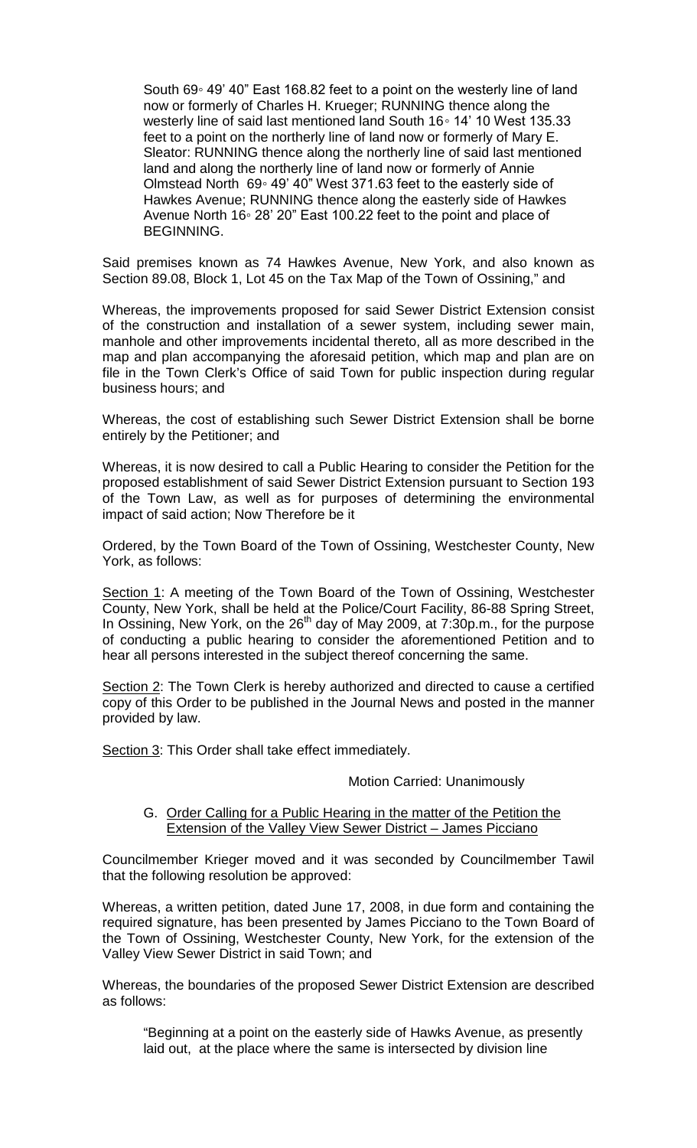South 69◦ 49' 40" East 168.82 feet to a point on the westerly line of land now or formerly of Charles H. Krueger; RUNNING thence along the westerly line of said last mentioned land South 16◦ 14' 10 West 135.33 feet to a point on the northerly line of land now or formerly of Mary E. Sleator: RUNNING thence along the northerly line of said last mentioned land and along the northerly line of land now or formerly of Annie Olmstead North 69◦ 49' 40" West 371.63 feet to the easterly side of Hawkes Avenue; RUNNING thence along the easterly side of Hawkes Avenue North 16◦ 28' 20" East 100.22 feet to the point and place of BEGINNING.

Said premises known as 74 Hawkes Avenue, New York, and also known as Section 89.08, Block 1, Lot 45 on the Tax Map of the Town of Ossining," and

Whereas, the improvements proposed for said Sewer District Extension consist of the construction and installation of a sewer system, including sewer main, manhole and other improvements incidental thereto, all as more described in the map and plan accompanying the aforesaid petition, which map and plan are on file in the Town Clerk's Office of said Town for public inspection during regular business hours; and

Whereas, the cost of establishing such Sewer District Extension shall be borne entirely by the Petitioner; and

Whereas, it is now desired to call a Public Hearing to consider the Petition for the proposed establishment of said Sewer District Extension pursuant to Section 193 of the Town Law, as well as for purposes of determining the environmental impact of said action; Now Therefore be it

Ordered, by the Town Board of the Town of Ossining, Westchester County, New York, as follows:

Section 1: A meeting of the Town Board of the Town of Ossining, Westchester County, New York, shall be held at the Police/Court Facility, 86-88 Spring Street, In Ossining, New York, on the  $26<sup>th</sup>$  day of May 2009, at 7:30p.m., for the purpose of conducting a public hearing to consider the aforementioned Petition and to hear all persons interested in the subject thereof concerning the same.

Section 2: The Town Clerk is hereby authorized and directed to cause a certified copy of this Order to be published in the Journal News and posted in the manner provided by law.

Section 3: This Order shall take effect immediately.

Motion Carried: Unanimously

### G. Order Calling for a Public Hearing in the matter of the Petition the Extension of the Valley View Sewer District – James Picciano

Councilmember Krieger moved and it was seconded by Councilmember Tawil that the following resolution be approved:

Whereas, a written petition, dated June 17, 2008, in due form and containing the required signature, has been presented by James Picciano to the Town Board of the Town of Ossining, Westchester County, New York, for the extension of the Valley View Sewer District in said Town; and

Whereas, the boundaries of the proposed Sewer District Extension are described as follows:

"Beginning at a point on the easterly side of Hawks Avenue, as presently laid out, at the place where the same is intersected by division line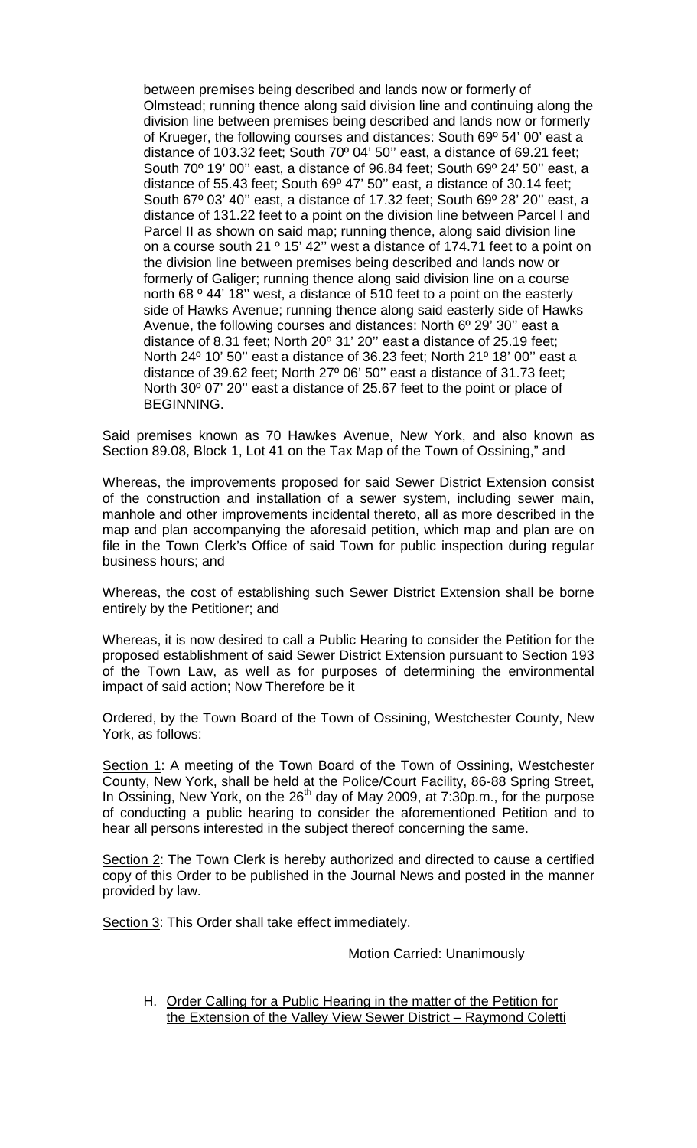between premises being described and lands now or formerly of Olmstead; running thence along said division line and continuing along the division line between premises being described and lands now or formerly of Krueger, the following courses and distances: South 69º 54' 00' east a distance of 103.32 feet; South 70º 04' 50'' east, a distance of 69.21 feet; South 70º 19' 00'' east, a distance of 96.84 feet; South 69º 24' 50'' east, a distance of 55.43 feet; South 69º 47' 50'' east, a distance of 30.14 feet; South 67º 03' 40'' east, a distance of 17.32 feet; South 69º 28' 20'' east, a distance of 131.22 feet to a point on the division line between Parcel I and Parcel II as shown on said map; running thence, along said division line on a course south 21 <sup>o</sup> 15' 42" west a distance of 174.71 feet to a point on the division line between premises being described and lands now or formerly of Galiger; running thence along said division line on a course north 68 º 44' 18'' west, a distance of 510 feet to a point on the easterly side of Hawks Avenue; running thence along said easterly side of Hawks Avenue, the following courses and distances: North 6º 29' 30'' east a distance of 8.31 feet; North 20º 31' 20'' east a distance of 25.19 feet; North 24º 10' 50'' east a distance of 36.23 feet; North 21º 18' 00'' east a distance of 39.62 feet; North 27º 06' 50'' east a distance of 31.73 feet; North 30º 07' 20'' east a distance of 25.67 feet to the point or place of BEGINNING.

Said premises known as 70 Hawkes Avenue, New York, and also known as Section 89.08, Block 1, Lot 41 on the Tax Map of the Town of Ossining," and

Whereas, the improvements proposed for said Sewer District Extension consist of the construction and installation of a sewer system, including sewer main, manhole and other improvements incidental thereto, all as more described in the map and plan accompanying the aforesaid petition, which map and plan are on file in the Town Clerk's Office of said Town for public inspection during regular business hours; and

Whereas, the cost of establishing such Sewer District Extension shall be borne entirely by the Petitioner; and

Whereas, it is now desired to call a Public Hearing to consider the Petition for the proposed establishment of said Sewer District Extension pursuant to Section 193 of the Town Law, as well as for purposes of determining the environmental impact of said action; Now Therefore be it

Ordered, by the Town Board of the Town of Ossining, Westchester County, New York, as follows:

Section 1: A meeting of the Town Board of the Town of Ossining, Westchester County, New York, shall be held at the Police/Court Facility, 86-88 Spring Street, In Ossining, New York, on the 26<sup>th</sup> day of May 2009, at 7:30p.m., for the purpose of conducting a public hearing to consider the aforementioned Petition and to hear all persons interested in the subject thereof concerning the same.

Section 2: The Town Clerk is hereby authorized and directed to cause a certified copy of this Order to be published in the Journal News and posted in the manner provided by law.

Section 3: This Order shall take effect immediately.

### Motion Carried: Unanimously

H. Order Calling for a Public Hearing in the matter of the Petition for the Extension of the Valley View Sewer District – Raymond Coletti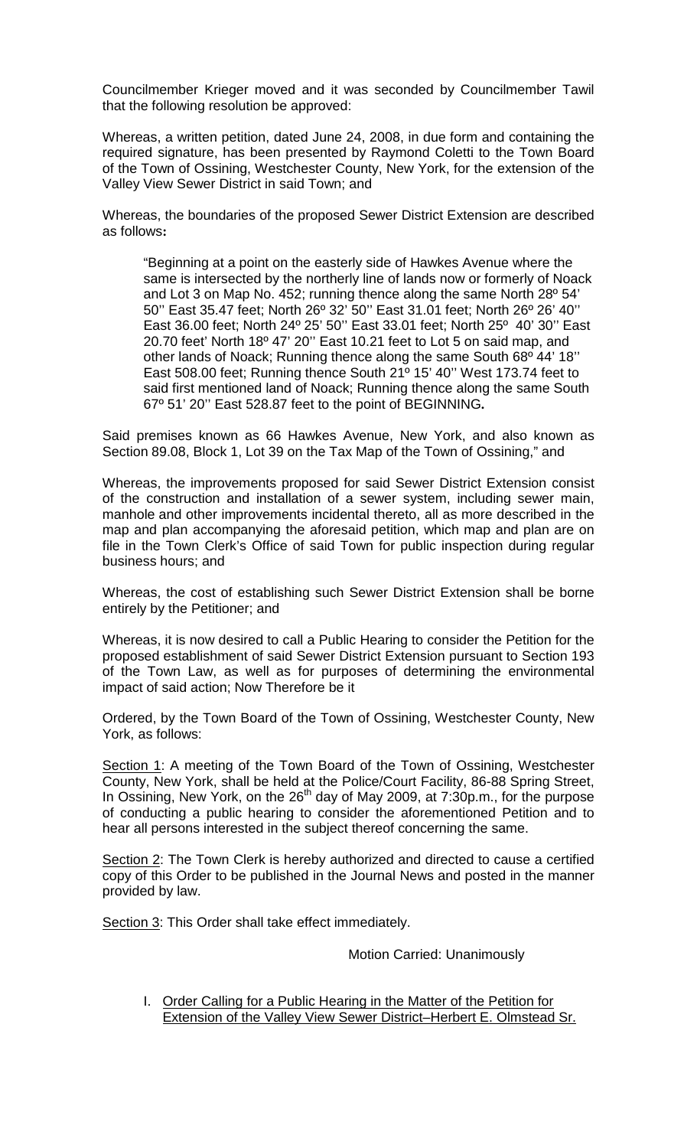Councilmember Krieger moved and it was seconded by Councilmember Tawil that the following resolution be approved:

Whereas, a written petition, dated June 24, 2008, in due form and containing the required signature, has been presented by Raymond Coletti to the Town Board of the Town of Ossining, Westchester County, New York, for the extension of the Valley View Sewer District in said Town; and

Whereas, the boundaries of the proposed Sewer District Extension are described as follows**:**

"Beginning at a point on the easterly side of Hawkes Avenue where the same is intersected by the northerly line of lands now or formerly of Noack and Lot 3 on Map No. 452; running thence along the same North 28º 54' 50'' East 35.47 feet; North 26º 32' 50'' East 31.01 feet; North 26º 26' 40'' East 36.00 feet; North 24º 25' 50'' East 33.01 feet; North 25º 40' 30'' East 20.70 feet' North 18º 47' 20'' East 10.21 feet to Lot 5 on said map, and other lands of Noack; Running thence along the same South 68º 44' 18'' East 508.00 feet; Running thence South 21º 15' 40'' West 173.74 feet to said first mentioned land of Noack; Running thence along the same South 67º 51' 20'' East 528.87 feet to the point of BEGINNING**.**

Said premises known as 66 Hawkes Avenue, New York, and also known as Section 89.08, Block 1, Lot 39 on the Tax Map of the Town of Ossining," and

Whereas, the improvements proposed for said Sewer District Extension consist of the construction and installation of a sewer system, including sewer main, manhole and other improvements incidental thereto, all as more described in the map and plan accompanying the aforesaid petition, which map and plan are on file in the Town Clerk's Office of said Town for public inspection during regular business hours; and

Whereas, the cost of establishing such Sewer District Extension shall be borne entirely by the Petitioner; and

Whereas, it is now desired to call a Public Hearing to consider the Petition for the proposed establishment of said Sewer District Extension pursuant to Section 193 of the Town Law, as well as for purposes of determining the environmental impact of said action; Now Therefore be it

Ordered, by the Town Board of the Town of Ossining, Westchester County, New York, as follows:

Section 1: A meeting of the Town Board of the Town of Ossining, Westchester County, New York, shall be held at the Police/Court Facility, 86-88 Spring Street, In Ossining, New York, on the 26<sup>th</sup> day of May 2009, at 7:30p.m., for the purpose of conducting a public hearing to consider the aforementioned Petition and to hear all persons interested in the subject thereof concerning the same.

Section 2: The Town Clerk is hereby authorized and directed to cause a certified copy of this Order to be published in the Journal News and posted in the manner provided by law.

Section 3: This Order shall take effect immediately.

### Motion Carried: Unanimously

I. Order Calling for a Public Hearing in the Matter of the Petition for Extension of the Valley View Sewer District–Herbert E. Olmstead Sr.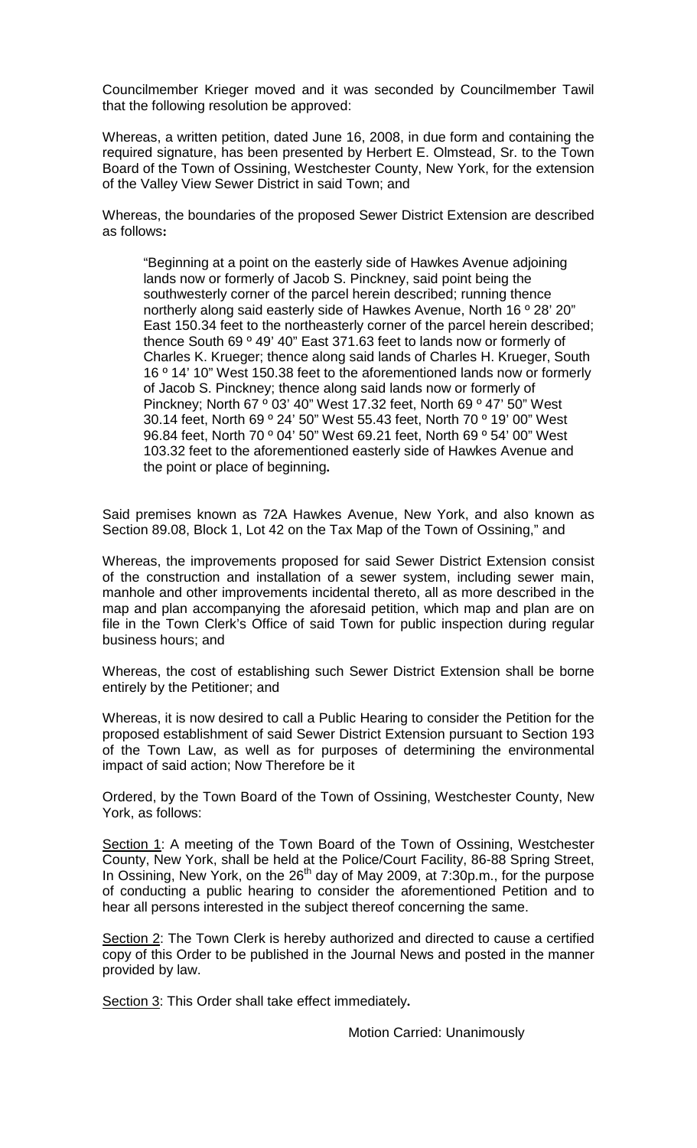Councilmember Krieger moved and it was seconded by Councilmember Tawil that the following resolution be approved:

Whereas, a written petition, dated June 16, 2008, in due form and containing the required signature, has been presented by Herbert E. Olmstead, Sr. to the Town Board of the Town of Ossining, Westchester County, New York, for the extension of the Valley View Sewer District in said Town; and

Whereas, the boundaries of the proposed Sewer District Extension are described as follows**:**

"Beginning at a point on the easterly side of Hawkes Avenue adjoining lands now or formerly of Jacob S. Pinckney, said point being the southwesterly corner of the parcel herein described; running thence northerly along said easterly side of Hawkes Avenue, North 16 º 28' 20" East 150.34 feet to the northeasterly corner of the parcel herein described; thence South 69 º 49' 40" East 371.63 feet to lands now or formerly of Charles K. Krueger; thence along said lands of Charles H. Krueger, South 16 º 14' 10" West 150.38 feet to the aforementioned lands now or formerly of Jacob S. Pinckney; thence along said lands now or formerly of Pinckney; North 67 º 03' 40" West 17.32 feet, North 69 º 47' 50" West 30.14 feet, North 69 º 24' 50" West 55.43 feet, North 70 º 19' 00" West 96.84 feet, North 70 º 04' 50" West 69.21 feet, North 69 º 54' 00" West 103.32 feet to the aforementioned easterly side of Hawkes Avenue and the point or place of beginning**.**

Said premises known as 72A Hawkes Avenue, New York, and also known as Section 89.08, Block 1, Lot 42 on the Tax Map of the Town of Ossining," and

Whereas, the improvements proposed for said Sewer District Extension consist of the construction and installation of a sewer system, including sewer main, manhole and other improvements incidental thereto, all as more described in the map and plan accompanying the aforesaid petition, which map and plan are on file in the Town Clerk's Office of said Town for public inspection during regular business hours; and

Whereas, the cost of establishing such Sewer District Extension shall be borne entirely by the Petitioner; and

Whereas, it is now desired to call a Public Hearing to consider the Petition for the proposed establishment of said Sewer District Extension pursuant to Section 193 of the Town Law, as well as for purposes of determining the environmental impact of said action; Now Therefore be it

Ordered, by the Town Board of the Town of Ossining, Westchester County, New York, as follows:

Section 1: A meeting of the Town Board of the Town of Ossining, Westchester County, New York, shall be held at the Police/Court Facility, 86-88 Spring Street, In Ossining, New York, on the  $26<sup>th</sup>$  day of May 2009, at 7:30p.m., for the purpose of conducting a public hearing to consider the aforementioned Petition and to hear all persons interested in the subject thereof concerning the same.

Section 2: The Town Clerk is hereby authorized and directed to cause a certified copy of this Order to be published in the Journal News and posted in the manner provided by law.

Section 3: This Order shall take effect immediately**.** 

Motion Carried: Unanimously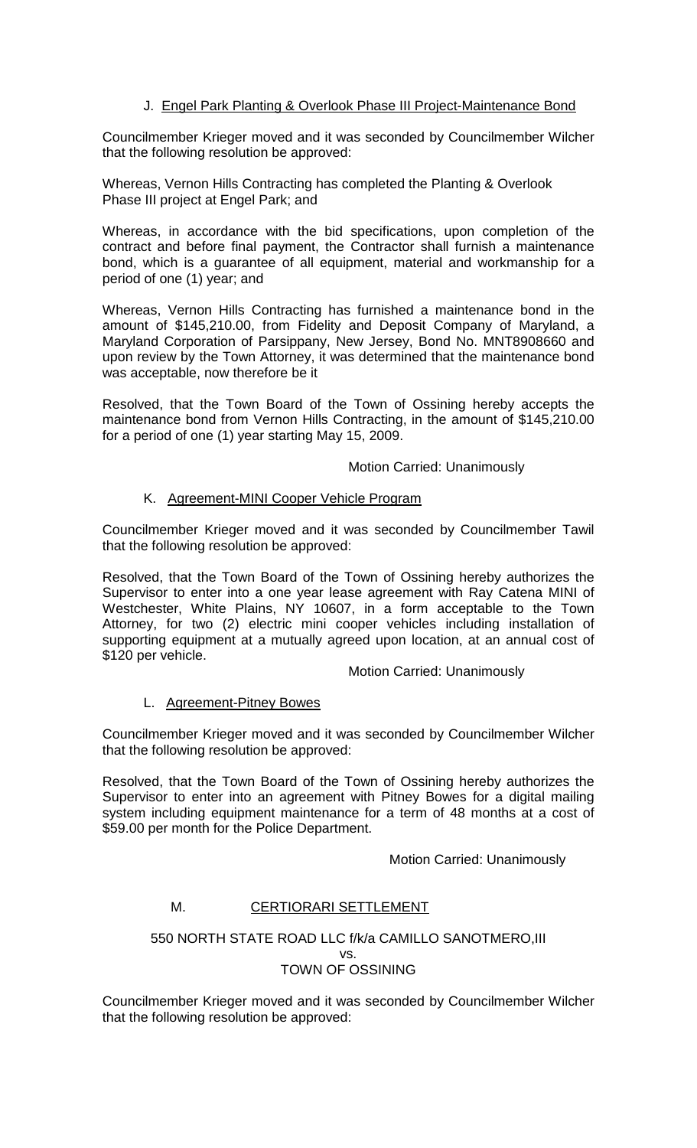# J. Engel Park Planting & Overlook Phase III Project-Maintenance Bond

Councilmember Krieger moved and it was seconded by Councilmember Wilcher that the following resolution be approved:

Whereas, Vernon Hills Contracting has completed the Planting & Overlook Phase III project at Engel Park; and

Whereas, in accordance with the bid specifications, upon completion of the contract and before final payment, the Contractor shall furnish a maintenance bond, which is a guarantee of all equipment, material and workmanship for a period of one (1) year; and

Whereas, Vernon Hills Contracting has furnished a maintenance bond in the amount of \$145,210.00, from Fidelity and Deposit Company of Maryland, a Maryland Corporation of Parsippany, New Jersey, Bond No. MNT8908660 and upon review by the Town Attorney, it was determined that the maintenance bond was acceptable, now therefore be it

Resolved, that the Town Board of the Town of Ossining hereby accepts the maintenance bond from Vernon Hills Contracting, in the amount of \$145,210.00 for a period of one (1) year starting May 15, 2009.

Motion Carried: Unanimously

# K. Agreement-MINI Cooper Vehicle Program

Councilmember Krieger moved and it was seconded by Councilmember Tawil that the following resolution be approved:

Resolved, that the Town Board of the Town of Ossining hereby authorizes the Supervisor to enter into a one year lease agreement with Ray Catena MINI of Westchester, White Plains, NY 10607, in a form acceptable to the Town Attorney, for two (2) electric mini cooper vehicles including installation of supporting equipment at a mutually agreed upon location, at an annual cost of \$120 per vehicle.

Motion Carried: Unanimously

# L. Agreement-Pitney Bowes

Councilmember Krieger moved and it was seconded by Councilmember Wilcher that the following resolution be approved:

Resolved, that the Town Board of the Town of Ossining hereby authorizes the Supervisor to enter into an agreement with Pitney Bowes for a digital mailing system including equipment maintenance for a term of 48 months at a cost of \$59.00 per month for the Police Department.

Motion Carried: Unanimously

# M. CERTIORARI SETTLEMENT

#### 550 NORTH STATE ROAD LLC f/k/a CAMILLO SANOTMERO,III vs. TOWN OF OSSINING

Councilmember Krieger moved and it was seconded by Councilmember Wilcher that the following resolution be approved: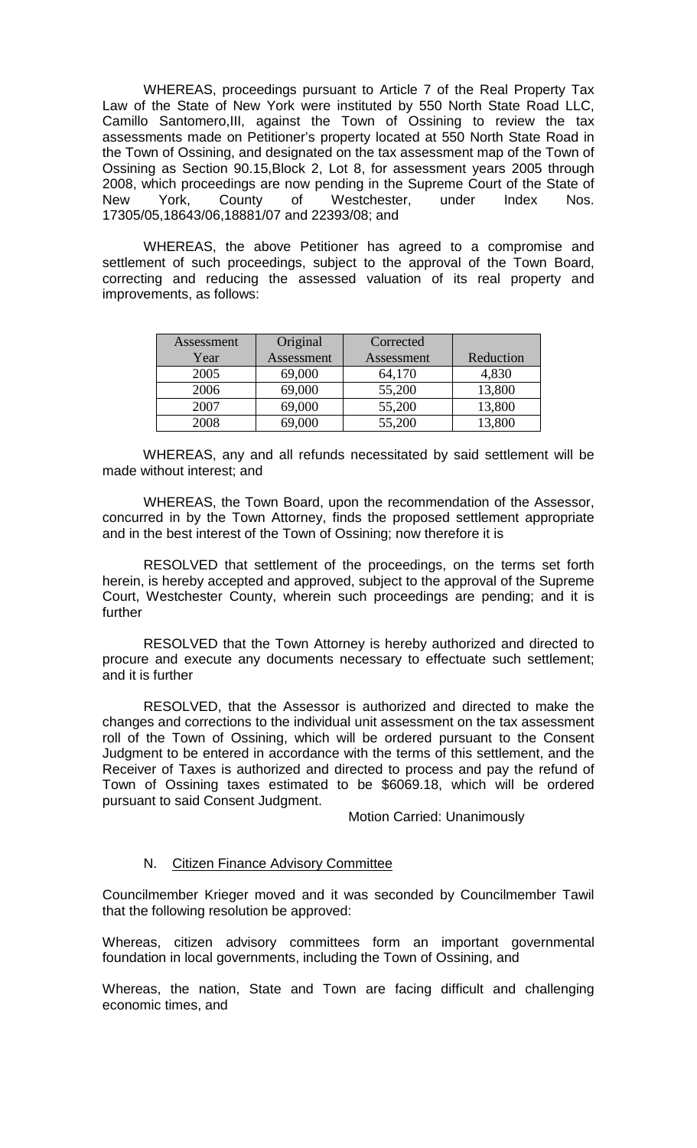WHEREAS, proceedings pursuant to Article 7 of the Real Property Tax Law of the State of New York were instituted by 550 North State Road LLC, Camillo Santomero,III, against the Town of Ossining to review the tax assessments made on Petitioner's property located at 550 North State Road in the Town of Ossining, and designated on the tax assessment map of the Town of Ossining as Section 90.15,Block 2, Lot 8, for assessment years 2005 through 2008, which proceedings are now pending in the Supreme Court of the State of New York, County of Westchester, under Index Nos. 17305/05,18643/06,18881/07 and 22393/08; and

WHEREAS, the above Petitioner has agreed to a compromise and settlement of such proceedings, subject to the approval of the Town Board, correcting and reducing the assessed valuation of its real property and improvements, as follows:

| Assessment | Original   | Corrected  |           |
|------------|------------|------------|-----------|
| Year       | Assessment | Assessment | Reduction |
| 2005       | 69,000     | 64,170     | 4,830     |
| 2006       | 69,000     | 55,200     | 13,800    |
| 2007       | 69,000     | 55,200     | 13,800    |
| 2008       | 69,000     | 55,200     | 13,800    |

WHEREAS, any and all refunds necessitated by said settlement will be made without interest; and

WHEREAS, the Town Board, upon the recommendation of the Assessor, concurred in by the Town Attorney, finds the proposed settlement appropriate and in the best interest of the Town of Ossining; now therefore it is

RESOLVED that settlement of the proceedings, on the terms set forth herein, is hereby accepted and approved, subject to the approval of the Supreme Court, Westchester County, wherein such proceedings are pending; and it is further

RESOLVED that the Town Attorney is hereby authorized and directed to procure and execute any documents necessary to effectuate such settlement; and it is further

RESOLVED, that the Assessor is authorized and directed to make the changes and corrections to the individual unit assessment on the tax assessment roll of the Town of Ossining, which will be ordered pursuant to the Consent Judgment to be entered in accordance with the terms of this settlement, and the Receiver of Taxes is authorized and directed to process and pay the refund of Town of Ossining taxes estimated to be \$6069.18, which will be ordered pursuant to said Consent Judgment.

Motion Carried: Unanimously

### N. Citizen Finance Advisory Committee

Councilmember Krieger moved and it was seconded by Councilmember Tawil that the following resolution be approved:

Whereas, citizen advisory committees form an important governmental foundation in local governments, including the Town of Ossining, and

Whereas, the nation, State and Town are facing difficult and challenging economic times, and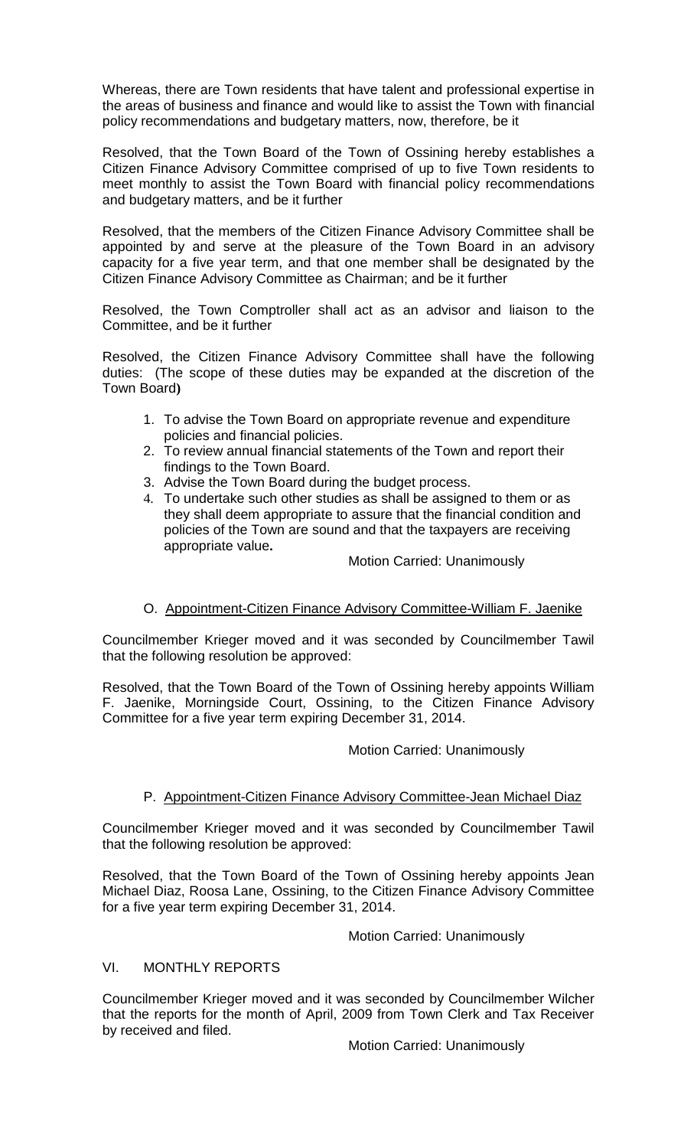Whereas, there are Town residents that have talent and professional expertise in the areas of business and finance and would like to assist the Town with financial policy recommendations and budgetary matters, now, therefore, be it

Resolved, that the Town Board of the Town of Ossining hereby establishes a Citizen Finance Advisory Committee comprised of up to five Town residents to meet monthly to assist the Town Board with financial policy recommendations and budgetary matters, and be it further

Resolved, that the members of the Citizen Finance Advisory Committee shall be appointed by and serve at the pleasure of the Town Board in an advisory capacity for a five year term, and that one member shall be designated by the Citizen Finance Advisory Committee as Chairman; and be it further

Resolved, the Town Comptroller shall act as an advisor and liaison to the Committee, and be it further

Resolved, the Citizen Finance Advisory Committee shall have the following duties: (The scope of these duties may be expanded at the discretion of the Town Board**)**

- 1. To advise the Town Board on appropriate revenue and expenditure policies and financial policies.
- 2. To review annual financial statements of the Town and report their findings to the Town Board.
- 3. Advise the Town Board during the budget process.
- 4. To undertake such other studies as shall be assigned to them or as they shall deem appropriate to assure that the financial condition and policies of the Town are sound and that the taxpayers are receiving appropriate value**.**

Motion Carried: Unanimously

# O. Appointment-Citizen Finance Advisory Committee-William F. Jaenike

Councilmember Krieger moved and it was seconded by Councilmember Tawil that the following resolution be approved:

Resolved, that the Town Board of the Town of Ossining hereby appoints William F. Jaenike, Morningside Court, Ossining, to the Citizen Finance Advisory Committee for a five year term expiring December 31, 2014.

# Motion Carried: Unanimously

# P. Appointment-Citizen Finance Advisory Committee-Jean Michael Diaz

Councilmember Krieger moved and it was seconded by Councilmember Tawil that the following resolution be approved:

Resolved, that the Town Board of the Town of Ossining hereby appoints Jean Michael Diaz, Roosa Lane, Ossining, to the Citizen Finance Advisory Committee for a five year term expiring December 31, 2014.

Motion Carried: Unanimously

# VI. MONTHLY REPORTS

Councilmember Krieger moved and it was seconded by Councilmember Wilcher that the reports for the month of April, 2009 from Town Clerk and Tax Receiver by received and filed.

Motion Carried: Unanimously